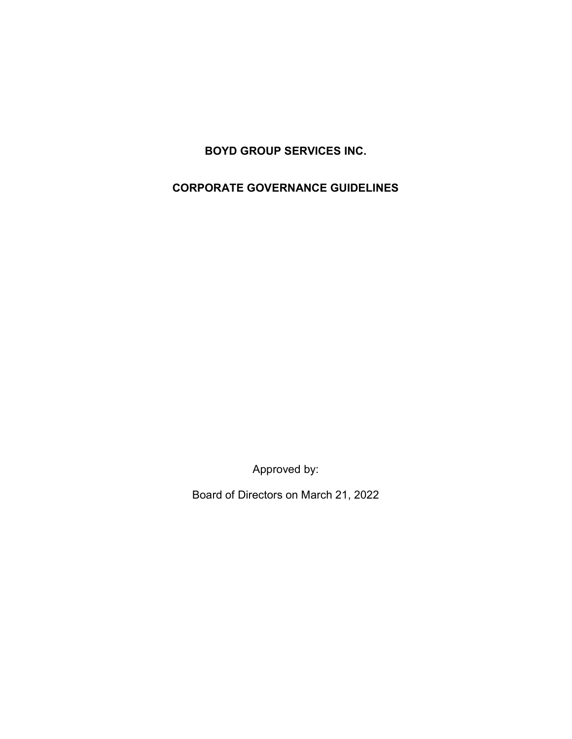BOYD GROUP SERVICES INC.

CORPORATE GOVERNANCE GUIDELINES

Approved by:

Board of Directors on March 21, 2022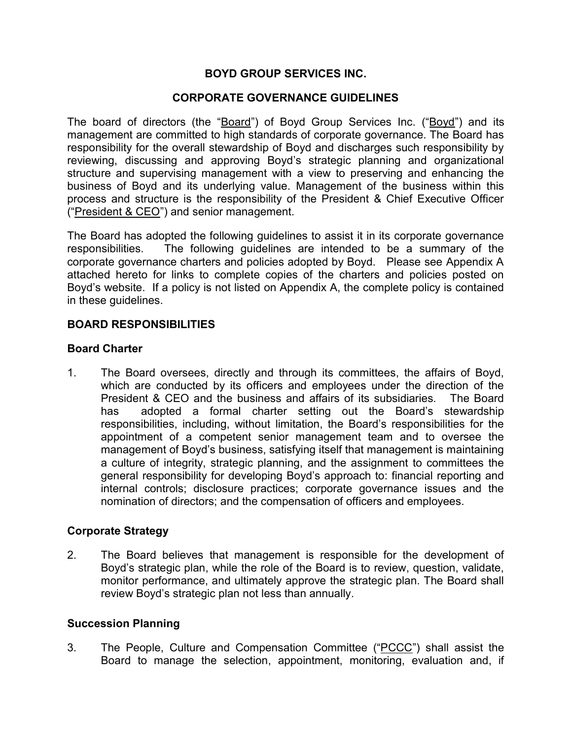# BOYD GROUP SERVICES INC.

## CORPORATE GOVERNANCE GUIDELINES

The board of directors (the "Board") of Boyd Group Services Inc. ("Boyd") and its management are committed to high standards of corporate governance. The Board has responsibility for the overall stewardship of Boyd and discharges such responsibility by reviewing, discussing and approving Boyd's strategic planning and organizational structure and supervising management with a view to preserving and enhancing the business of Boyd and its underlying value. Management of the business within this process and structure is the responsibility of the President & Chief Executive Officer ("President & CEO") and senior management.

The Board has adopted the following guidelines to assist it in its corporate governance responsibilities. The following guidelines are intended to be a summary of the corporate governance charters and policies adopted by Boyd. Please see Appendix A attached hereto for links to complete copies of the charters and policies posted on Boyd's website. If a policy is not listed on Appendix A, the complete policy is contained in these guidelines.

### BOARD RESPONSIBILITIES

### Board Charter

1. The Board oversees, directly and through its committees, the affairs of Boyd, which are conducted by its officers and employees under the direction of the President & CEO and the business and affairs of its subsidiaries. The Board has adopted a formal charter setting out the Board's stewardship responsibilities, including, without limitation, the Board's responsibilities for the appointment of a competent senior management team and to oversee the management of Boyd's business, satisfying itself that management is maintaining a culture of integrity, strategic planning, and the assignment to committees the general responsibility for developing Boyd's approach to: financial reporting and internal controls; disclosure practices; corporate governance issues and the nomination of directors; and the compensation of officers and employees.

## Corporate Strategy

2. The Board believes that management is responsible for the development of Boyd's strategic plan, while the role of the Board is to review, question, validate, monitor performance, and ultimately approve the strategic plan. The Board shall review Boyd's strategic plan not less than annually.

#### Succession Planning

3. The People, Culture and Compensation Committee ("PCCC") shall assist the Board to manage the selection, appointment, monitoring, evaluation and, if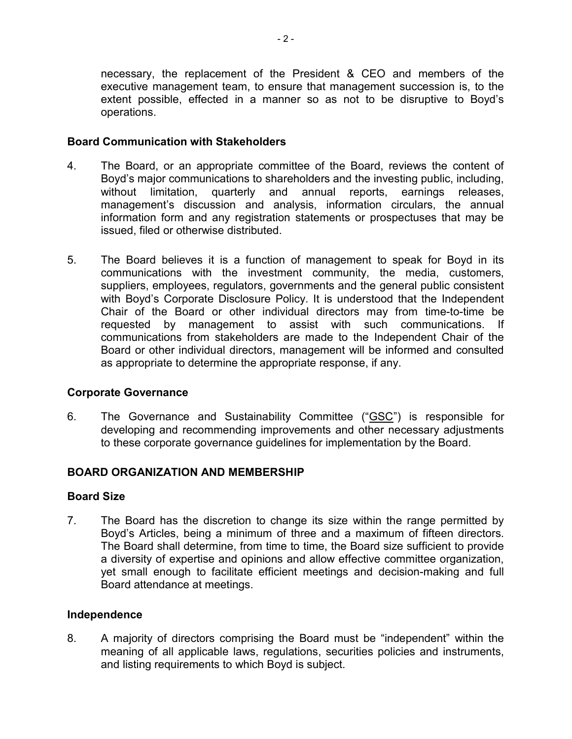necessary, the replacement of the President & CEO and members of the executive management team, to ensure that management succession is, to the extent possible, effected in a manner so as not to be disruptive to Boyd's operations.

## Board Communication with Stakeholders

- 4. The Board, or an appropriate committee of the Board, reviews the content of Boyd's major communications to shareholders and the investing public, including, without limitation, quarterly and annual reports, earnings releases, management's discussion and analysis, information circulars, the annual information form and any registration statements or prospectuses that may be issued, filed or otherwise distributed.
- 5. The Board believes it is a function of management to speak for Boyd in its communications with the investment community, the media, customers, suppliers, employees, regulators, governments and the general public consistent with Boyd's Corporate Disclosure Policy. It is understood that the Independent Chair of the Board or other individual directors may from time-to-time be requested by management to assist with such communications. If communications from stakeholders are made to the Independent Chair of the Board or other individual directors, management will be informed and consulted as appropriate to determine the appropriate response, if any.

## Corporate Governance

6. The Governance and Sustainability Committee ("GSC") is responsible for developing and recommending improvements and other necessary adjustments to these corporate governance guidelines for implementation by the Board.

## BOARD ORGANIZATION AND MEMBERSHIP

#### Board Size

7. The Board has the discretion to change its size within the range permitted by Boyd's Articles, being a minimum of three and a maximum of fifteen directors. The Board shall determine, from time to time, the Board size sufficient to provide a diversity of expertise and opinions and allow effective committee organization, yet small enough to facilitate efficient meetings and decision-making and full Board attendance at meetings.

## Independence

8. A majority of directors comprising the Board must be "independent" within the meaning of all applicable laws, regulations, securities policies and instruments, and listing requirements to which Boyd is subject.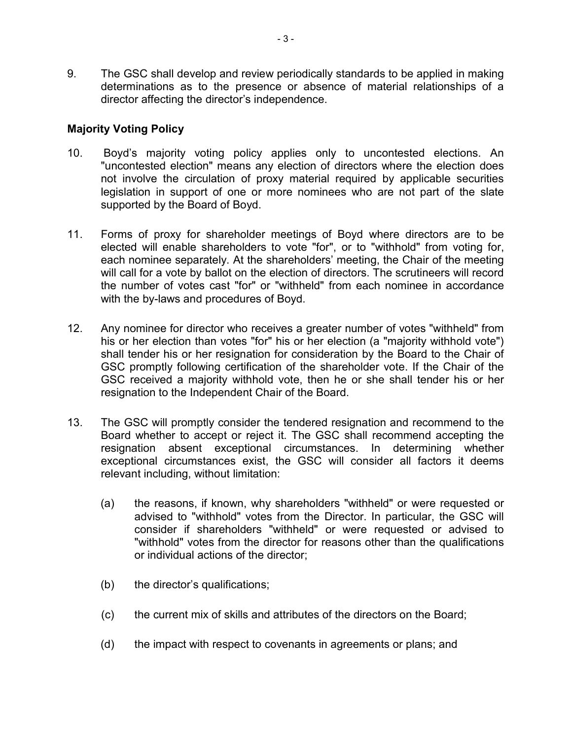9. The GSC shall develop and review periodically standards to be applied in making determinations as to the presence or absence of material relationships of a director affecting the director's independence.

## Majority Voting Policy

- 10. Boyd's majority voting policy applies only to uncontested elections. An "uncontested election" means any election of directors where the election does not involve the circulation of proxy material required by applicable securities legislation in support of one or more nominees who are not part of the slate supported by the Board of Boyd.
- 11. Forms of proxy for shareholder meetings of Boyd where directors are to be elected will enable shareholders to vote "for", or to "withhold" from voting for, each nominee separately. At the shareholders' meeting, the Chair of the meeting will call for a vote by ballot on the election of directors. The scrutineers will record the number of votes cast "for" or "withheld" from each nominee in accordance with the by-laws and procedures of Boyd.
- 12. Any nominee for director who receives a greater number of votes "withheld" from his or her election than votes "for" his or her election (a "majority withhold vote") shall tender his or her resignation for consideration by the Board to the Chair of GSC promptly following certification of the shareholder vote. If the Chair of the GSC received a majority withhold vote, then he or she shall tender his or her resignation to the Independent Chair of the Board.
- 13. The GSC will promptly consider the tendered resignation and recommend to the Board whether to accept or reject it. The GSC shall recommend accepting the resignation absent exceptional circumstances. In determining whether exceptional circumstances exist, the GSC will consider all factors it deems relevant including, without limitation:
	- (a) the reasons, if known, why shareholders "withheld" or were requested or advised to "withhold" votes from the Director. In particular, the GSC will consider if shareholders "withheld" or were requested or advised to "withhold" votes from the director for reasons other than the qualifications or individual actions of the director;
	- (b) the director's qualifications;
	- (c) the current mix of skills and attributes of the directors on the Board;
	- (d) the impact with respect to covenants in agreements or plans; and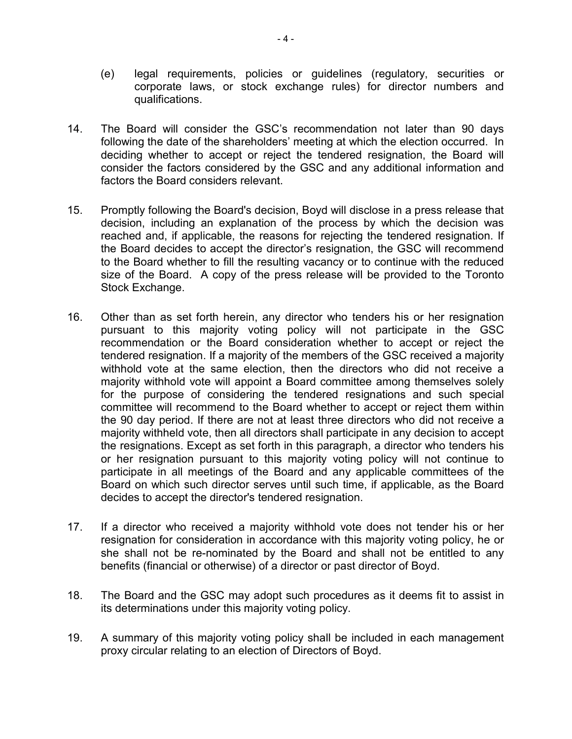- (e) legal requirements, policies or guidelines (regulatory, securities or corporate laws, or stock exchange rules) for director numbers and qualifications.
- 14. The Board will consider the GSC's recommendation not later than 90 days following the date of the shareholders' meeting at which the election occurred. In deciding whether to accept or reject the tendered resignation, the Board will consider the factors considered by the GSC and any additional information and factors the Board considers relevant.
- 15. Promptly following the Board's decision, Boyd will disclose in a press release that decision, including an explanation of the process by which the decision was reached and, if applicable, the reasons for rejecting the tendered resignation. If the Board decides to accept the director's resignation, the GSC will recommend to the Board whether to fill the resulting vacancy or to continue with the reduced size of the Board. A copy of the press release will be provided to the Toronto Stock Exchange.
- 16. Other than as set forth herein, any director who tenders his or her resignation pursuant to this majority voting policy will not participate in the GSC recommendation or the Board consideration whether to accept or reject the tendered resignation. If a majority of the members of the GSC received a majority withhold vote at the same election, then the directors who did not receive a majority withhold vote will appoint a Board committee among themselves solely for the purpose of considering the tendered resignations and such special committee will recommend to the Board whether to accept or reject them within the 90 day period. If there are not at least three directors who did not receive a majority withheld vote, then all directors shall participate in any decision to accept the resignations. Except as set forth in this paragraph, a director who tenders his or her resignation pursuant to this majority voting policy will not continue to participate in all meetings of the Board and any applicable committees of the Board on which such director serves until such time, if applicable, as the Board decides to accept the director's tendered resignation.
- 17. If a director who received a majority withhold vote does not tender his or her resignation for consideration in accordance with this majority voting policy, he or she shall not be re-nominated by the Board and shall not be entitled to any benefits (financial or otherwise) of a director or past director of Boyd.
- 18. The Board and the GSC may adopt such procedures as it deems fit to assist in its determinations under this majority voting policy.
- 19. A summary of this majority voting policy shall be included in each management proxy circular relating to an election of Directors of Boyd.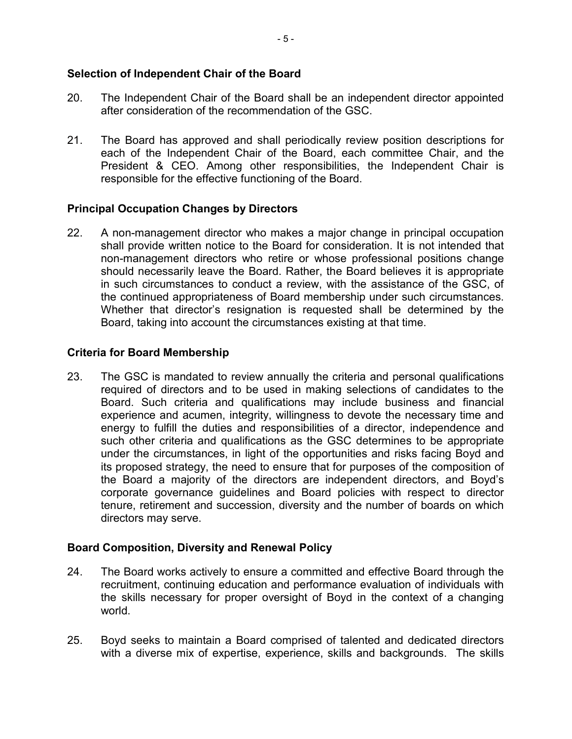## Selection of Independent Chair of the Board

- 20. The Independent Chair of the Board shall be an independent director appointed after consideration of the recommendation of the GSC.
- 21. The Board has approved and shall periodically review position descriptions for each of the Independent Chair of the Board, each committee Chair, and the President & CEO. Among other responsibilities, the Independent Chair is responsible for the effective functioning of the Board.

## Principal Occupation Changes by Directors

22. A non-management director who makes a major change in principal occupation shall provide written notice to the Board for consideration. It is not intended that non-management directors who retire or whose professional positions change should necessarily leave the Board. Rather, the Board believes it is appropriate in such circumstances to conduct a review, with the assistance of the GSC, of the continued appropriateness of Board membership under such circumstances. Whether that director's resignation is requested shall be determined by the Board, taking into account the circumstances existing at that time.

### Criteria for Board Membership

23. The GSC is mandated to review annually the criteria and personal qualifications required of directors and to be used in making selections of candidates to the Board. Such criteria and qualifications may include business and financial experience and acumen, integrity, willingness to devote the necessary time and energy to fulfill the duties and responsibilities of a director, independence and such other criteria and qualifications as the GSC determines to be appropriate under the circumstances, in light of the opportunities and risks facing Boyd and its proposed strategy, the need to ensure that for purposes of the composition of the Board a majority of the directors are independent directors, and Boyd's corporate governance guidelines and Board policies with respect to director tenure, retirement and succession, diversity and the number of boards on which directors may serve.

## Board Composition, Diversity and Renewal Policy

- 24. The Board works actively to ensure a committed and effective Board through the recruitment, continuing education and performance evaluation of individuals with the skills necessary for proper oversight of Boyd in the context of a changing world.
- 25. Boyd seeks to maintain a Board comprised of talented and dedicated directors with a diverse mix of expertise, experience, skills and backgrounds. The skills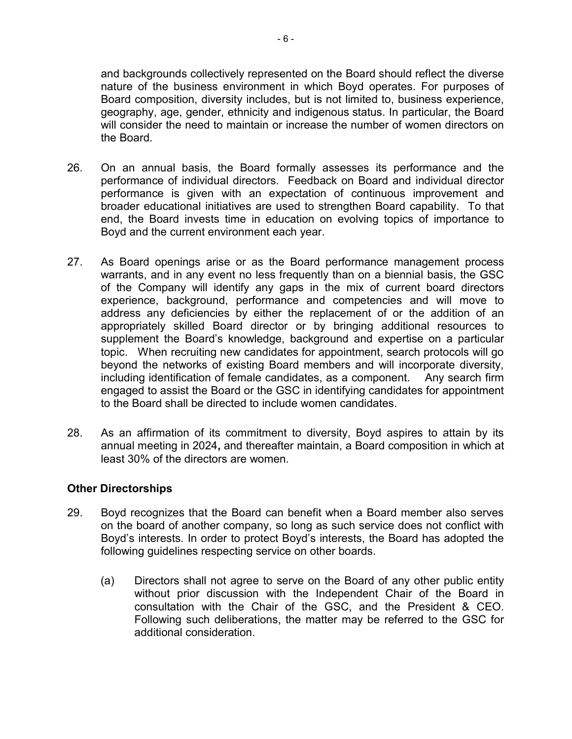and backgrounds collectively represented on the Board should reflect the diverse nature of the business environment in which Boyd operates. For purposes of Board composition, diversity includes, but is not limited to, business experience, geography, age, gender, ethnicity and indigenous status. In particular, the Board will consider the need to maintain or increase the number of women directors on the Board.

- 26. On an annual basis, the Board formally assesses its performance and the performance of individual directors. Feedback on Board and individual director performance is given with an expectation of continuous improvement and broader educational initiatives are used to strengthen Board capability. To that end, the Board invests time in education on evolving topics of importance to Boyd and the current environment each year.
- 27. As Board openings arise or as the Board performance management process warrants, and in any event no less frequently than on a biennial basis, the GSC of the Company will identify any gaps in the mix of current board directors experience, background, performance and competencies and will move to address any deficiencies by either the replacement of or the addition of an appropriately skilled Board director or by bringing additional resources to supplement the Board's knowledge, background and expertise on a particular topic. When recruiting new candidates for appointment, search protocols will go beyond the networks of existing Board members and will incorporate diversity, including identification of female candidates, as a component. Any search firm engaged to assist the Board or the GSC in identifying candidates for appointment to the Board shall be directed to include women candidates.
- 28. As an affirmation of its commitment to diversity, Boyd aspires to attain by its annual meeting in 2024, and thereafter maintain, a Board composition in which at least 30% of the directors are women.

## Other Directorships

- 29. Boyd recognizes that the Board can benefit when a Board member also serves on the board of another company, so long as such service does not conflict with Boyd's interests. In order to protect Boyd's interests, the Board has adopted the following guidelines respecting service on other boards.
	- (a) Directors shall not agree to serve on the Board of any other public entity without prior discussion with the Independent Chair of the Board in consultation with the Chair of the GSC, and the President & CEO. Following such deliberations, the matter may be referred to the GSC for additional consideration.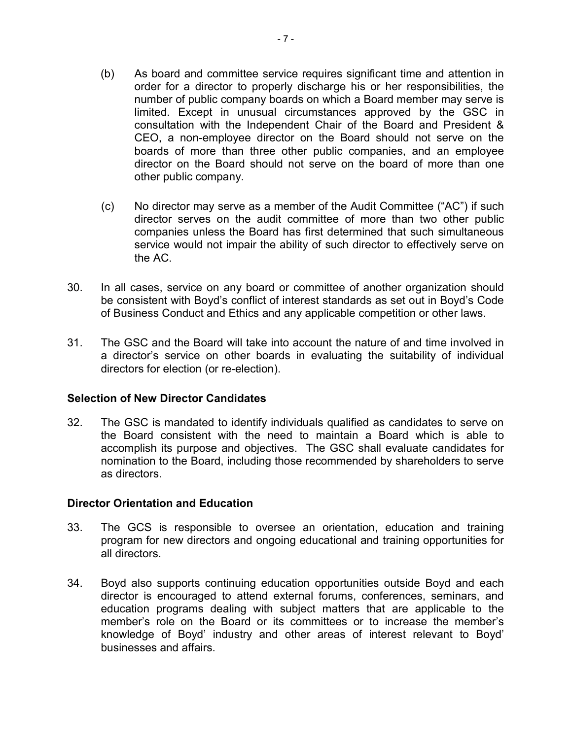- (b) As board and committee service requires significant time and attention in order for a director to properly discharge his or her responsibilities, the number of public company boards on which a Board member may serve is limited. Except in unusual circumstances approved by the GSC in consultation with the Independent Chair of the Board and President & CEO, a non-employee director on the Board should not serve on the boards of more than three other public companies, and an employee director on the Board should not serve on the board of more than one other public company.
- (c) No director may serve as a member of the Audit Committee ("AC") if such director serves on the audit committee of more than two other public companies unless the Board has first determined that such simultaneous service would not impair the ability of such director to effectively serve on the AC.
- 30. In all cases, service on any board or committee of another organization should be consistent with Boyd's conflict of interest standards as set out in Boyd's Code of Business Conduct and Ethics and any applicable competition or other laws.
- 31. The GSC and the Board will take into account the nature of and time involved in a director's service on other boards in evaluating the suitability of individual directors for election (or re-election).

## Selection of New Director Candidates

32. The GSC is mandated to identify individuals qualified as candidates to serve on the Board consistent with the need to maintain a Board which is able to accomplish its purpose and objectives. The GSC shall evaluate candidates for nomination to the Board, including those recommended by shareholders to serve as directors.

## Director Orientation and Education

- 33. The GCS is responsible to oversee an orientation, education and training program for new directors and ongoing educational and training opportunities for all directors.
- 34. Boyd also supports continuing education opportunities outside Boyd and each director is encouraged to attend external forums, conferences, seminars, and education programs dealing with subject matters that are applicable to the member's role on the Board or its committees or to increase the member's knowledge of Boyd' industry and other areas of interest relevant to Boyd' businesses and affairs.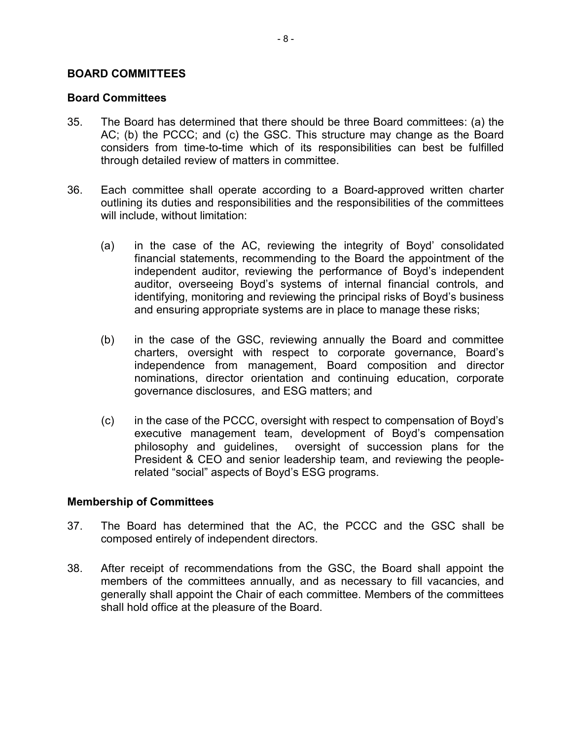### BOARD COMMITTEES

#### Board Committees

- 35. The Board has determined that there should be three Board committees: (a) the AC; (b) the PCCC; and (c) the GSC. This structure may change as the Board considers from time-to-time which of its responsibilities can best be fulfilled through detailed review of matters in committee.
- 36. Each committee shall operate according to a Board-approved written charter outlining its duties and responsibilities and the responsibilities of the committees will include, without limitation:
	- (a) in the case of the AC, reviewing the integrity of Boyd' consolidated financial statements, recommending to the Board the appointment of the independent auditor, reviewing the performance of Boyd's independent auditor, overseeing Boyd's systems of internal financial controls, and identifying, monitoring and reviewing the principal risks of Boyd's business and ensuring appropriate systems are in place to manage these risks;
	- (b) in the case of the GSC, reviewing annually the Board and committee charters, oversight with respect to corporate governance, Board's independence from management, Board composition and director nominations, director orientation and continuing education, corporate governance disclosures, and ESG matters; and
	- (c) in the case of the PCCC, oversight with respect to compensation of Boyd's executive management team, development of Boyd's compensation philosophy and guidelines, oversight of succession plans for the President & CEO and senior leadership team, and reviewing the peoplerelated "social" aspects of Boyd's ESG programs.

#### Membership of Committees

- 37. The Board has determined that the AC, the PCCC and the GSC shall be composed entirely of independent directors.
- 38. After receipt of recommendations from the GSC, the Board shall appoint the members of the committees annually, and as necessary to fill vacancies, and generally shall appoint the Chair of each committee. Members of the committees shall hold office at the pleasure of the Board.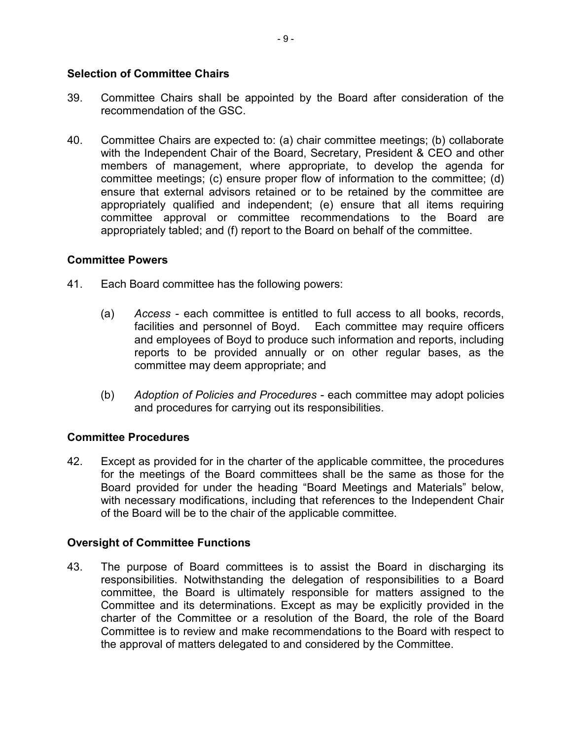### Selection of Committee Chairs

- 39. Committee Chairs shall be appointed by the Board after consideration of the recommendation of the GSC.
- 40. Committee Chairs are expected to: (a) chair committee meetings; (b) collaborate with the Independent Chair of the Board, Secretary, President & CEO and other members of management, where appropriate, to develop the agenda for committee meetings; (c) ensure proper flow of information to the committee; (d) ensure that external advisors retained or to be retained by the committee are appropriately qualified and independent; (e) ensure that all items requiring committee approval or committee recommendations to the Board are appropriately tabled; and (f) report to the Board on behalf of the committee.

### Committee Powers

- 41. Each Board committee has the following powers:
	- (a) Access each committee is entitled to full access to all books, records, facilities and personnel of Boyd. Each committee may require officers and employees of Boyd to produce such information and reports, including reports to be provided annually or on other regular bases, as the committee may deem appropriate; and
	- (b) Adoption of Policies and Procedures each committee may adopt policies and procedures for carrying out its responsibilities.

## Committee Procedures

42. Except as provided for in the charter of the applicable committee, the procedures for the meetings of the Board committees shall be the same as those for the Board provided for under the heading "Board Meetings and Materials" below, with necessary modifications, including that references to the Independent Chair of the Board will be to the chair of the applicable committee.

## Oversight of Committee Functions

43. The purpose of Board committees is to assist the Board in discharging its responsibilities. Notwithstanding the delegation of responsibilities to a Board committee, the Board is ultimately responsible for matters assigned to the Committee and its determinations. Except as may be explicitly provided in the charter of the Committee or a resolution of the Board, the role of the Board Committee is to review and make recommendations to the Board with respect to the approval of matters delegated to and considered by the Committee.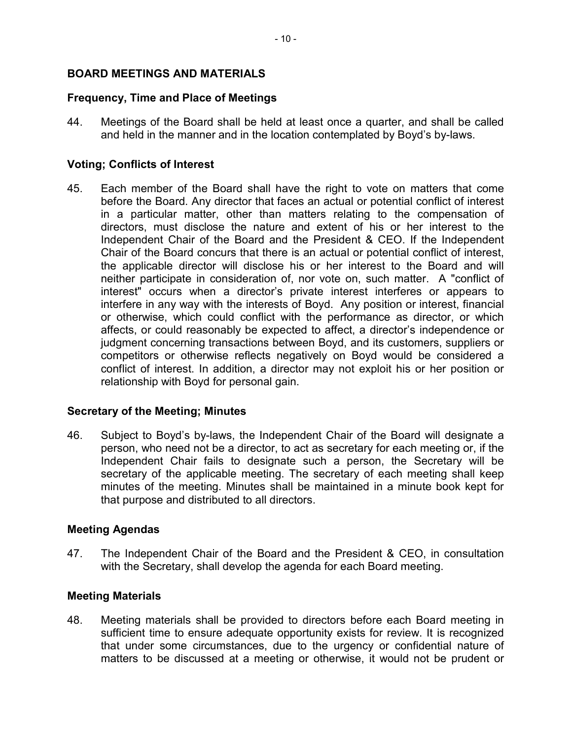# BOARD MEETINGS AND MATERIALS

## Frequency, Time and Place of Meetings

44. Meetings of the Board shall be held at least once a quarter, and shall be called and held in the manner and in the location contemplated by Boyd's by-laws.

## Voting; Conflicts of Interest

45. Each member of the Board shall have the right to vote on matters that come before the Board. Any director that faces an actual or potential conflict of interest in a particular matter, other than matters relating to the compensation of directors, must disclose the nature and extent of his or her interest to the Independent Chair of the Board and the President & CEO. If the Independent Chair of the Board concurs that there is an actual or potential conflict of interest, the applicable director will disclose his or her interest to the Board and will neither participate in consideration of, nor vote on, such matter. A "conflict of interest" occurs when a director's private interest interferes or appears to interfere in any way with the interests of Boyd. Any position or interest, financial or otherwise, which could conflict with the performance as director, or which affects, or could reasonably be expected to affect, a director's independence or judgment concerning transactions between Boyd, and its customers, suppliers or competitors or otherwise reflects negatively on Boyd would be considered a conflict of interest. In addition, a director may not exploit his or her position or relationship with Boyd for personal gain.

## Secretary of the Meeting; Minutes

46. Subject to Boyd's by-laws, the Independent Chair of the Board will designate a person, who need not be a director, to act as secretary for each meeting or, if the Independent Chair fails to designate such a person, the Secretary will be secretary of the applicable meeting. The secretary of each meeting shall keep minutes of the meeting. Minutes shall be maintained in a minute book kept for that purpose and distributed to all directors.

## Meeting Agendas

47. The Independent Chair of the Board and the President & CEO, in consultation with the Secretary, shall develop the agenda for each Board meeting.

## Meeting Materials

48. Meeting materials shall be provided to directors before each Board meeting in sufficient time to ensure adequate opportunity exists for review. It is recognized that under some circumstances, due to the urgency or confidential nature of matters to be discussed at a meeting or otherwise, it would not be prudent or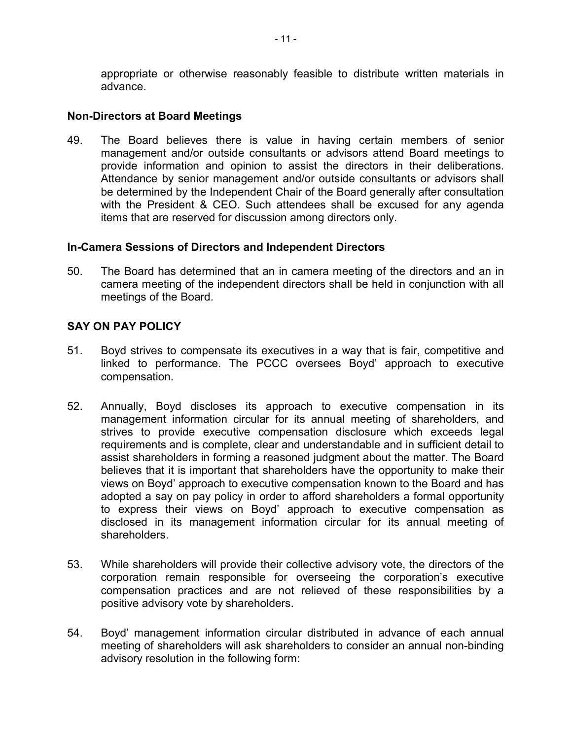appropriate or otherwise reasonably feasible to distribute written materials in advance.

### Non-Directors at Board Meetings

49. The Board believes there is value in having certain members of senior management and/or outside consultants or advisors attend Board meetings to provide information and opinion to assist the directors in their deliberations. Attendance by senior management and/or outside consultants or advisors shall be determined by the Independent Chair of the Board generally after consultation with the President & CEO. Such attendees shall be excused for any agenda items that are reserved for discussion among directors only.

### In-Camera Sessions of Directors and Independent Directors

50. The Board has determined that an in camera meeting of the directors and an in camera meeting of the independent directors shall be held in conjunction with all meetings of the Board.

## SAY ON PAY POLICY

- 51. Boyd strives to compensate its executives in a way that is fair, competitive and linked to performance. The PCCC oversees Boyd' approach to executive compensation.
- 52. Annually, Boyd discloses its approach to executive compensation in its management information circular for its annual meeting of shareholders, and strives to provide executive compensation disclosure which exceeds legal requirements and is complete, clear and understandable and in sufficient detail to assist shareholders in forming a reasoned judgment about the matter. The Board believes that it is important that shareholders have the opportunity to make their views on Boyd' approach to executive compensation known to the Board and has adopted a say on pay policy in order to afford shareholders a formal opportunity to express their views on Boyd' approach to executive compensation as disclosed in its management information circular for its annual meeting of shareholders.
- 53. While shareholders will provide their collective advisory vote, the directors of the corporation remain responsible for overseeing the corporation's executive compensation practices and are not relieved of these responsibilities by a positive advisory vote by shareholders.
- 54. Boyd' management information circular distributed in advance of each annual meeting of shareholders will ask shareholders to consider an annual non-binding advisory resolution in the following form: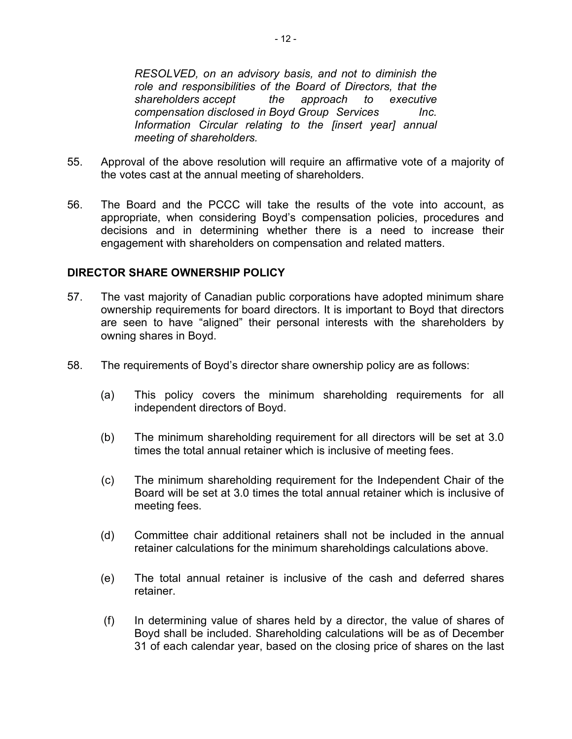RESOLVED, on an advisory basis, and not to diminish the role and responsibilities of the Board of Directors, that the shareholders accept the approach to executive compensation disclosed in Boyd Group Services lnc. Information Circular relating to the [insert year] annual meeting of shareholders.

- 55. Approval of the above resolution will require an affirmative vote of a majority of the votes cast at the annual meeting of shareholders.
- 56. The Board and the PCCC will take the results of the vote into account, as appropriate, when considering Boyd's compensation policies, procedures and decisions and in determining whether there is a need to increase their engagement with shareholders on compensation and related matters.

### DIRECTOR SHARE OWNERSHIP POLICY

- 57. The vast majority of Canadian public corporations have adopted minimum share ownership requirements for board directors. It is important to Boyd that directors are seen to have "aligned" their personal interests with the shareholders by owning shares in Boyd.
- 58. The requirements of Boyd's director share ownership policy are as follows:
	- (a) This policy covers the minimum shareholding requirements for all independent directors of Boyd.
	- (b) The minimum shareholding requirement for all directors will be set at 3.0 times the total annual retainer which is inclusive of meeting fees.
	- (c) The minimum shareholding requirement for the Independent Chair of the Board will be set at 3.0 times the total annual retainer which is inclusive of meeting fees.
	- (d) Committee chair additional retainers shall not be included in the annual retainer calculations for the minimum shareholdings calculations above.
	- (e) The total annual retainer is inclusive of the cash and deferred shares retainer.
	- (f) In determining value of shares held by a director, the value of shares of Boyd shall be included. Shareholding calculations will be as of December 31 of each calendar year, based on the closing price of shares on the last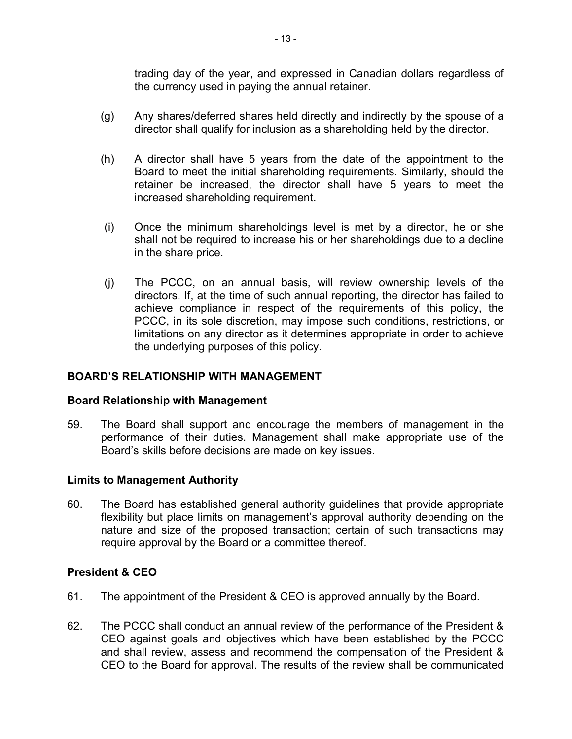trading day of the year, and expressed in Canadian dollars regardless of the currency used in paying the annual retainer.

- (g) Any shares/deferred shares held directly and indirectly by the spouse of a director shall qualify for inclusion as a shareholding held by the director.
- (h) A director shall have 5 years from the date of the appointment to the Board to meet the initial shareholding requirements. Similarly, should the retainer be increased, the director shall have 5 years to meet the increased shareholding requirement.
- (i) Once the minimum shareholdings level is met by a director, he or she shall not be required to increase his or her shareholdings due to a decline in the share price.
- (j) The PCCC, on an annual basis, will review ownership levels of the directors. If, at the time of such annual reporting, the director has failed to achieve compliance in respect of the requirements of this policy, the PCCC, in its sole discretion, may impose such conditions, restrictions, or limitations on any director as it determines appropriate in order to achieve the underlying purposes of this policy.

# BOARD'S RELATIONSHIP WITH MANAGEMENT

## Board Relationship with Management

59. The Board shall support and encourage the members of management in the performance of their duties. Management shall make appropriate use of the Board's skills before decisions are made on key issues.

## Limits to Management Authority

60. The Board has established general authority guidelines that provide appropriate flexibility but place limits on management's approval authority depending on the nature and size of the proposed transaction; certain of such transactions may require approval by the Board or a committee thereof.

## President & CEO

- 61. The appointment of the President & CEO is approved annually by the Board.
- 62. The PCCC shall conduct an annual review of the performance of the President & CEO against goals and objectives which have been established by the PCCC and shall review, assess and recommend the compensation of the President & CEO to the Board for approval. The results of the review shall be communicated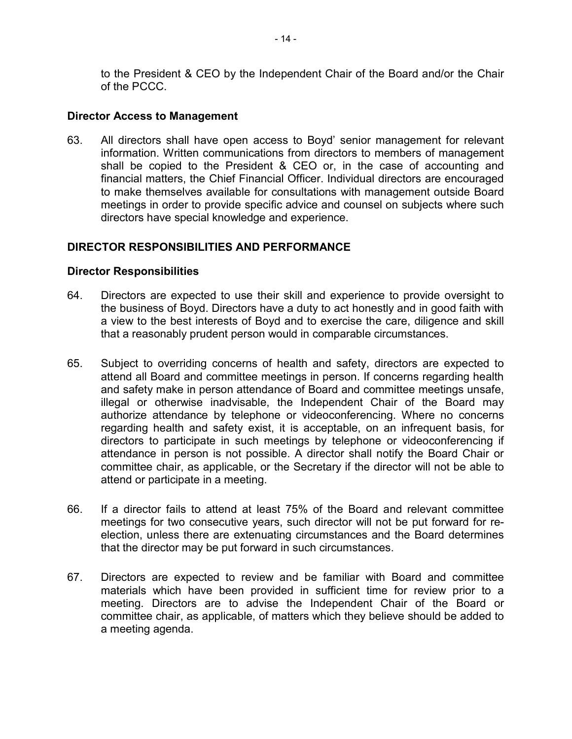to the President & CEO by the Independent Chair of the Board and/or the Chair of the PCCC.

### Director Access to Management

63. All directors shall have open access to Boyd' senior management for relevant information. Written communications from directors to members of management shall be copied to the President & CEO or, in the case of accounting and financial matters, the Chief Financial Officer. Individual directors are encouraged to make themselves available for consultations with management outside Board meetings in order to provide specific advice and counsel on subjects where such directors have special knowledge and experience.

### DIRECTOR RESPONSIBILITIES AND PERFORMANCE

#### Director Responsibilities

- 64. Directors are expected to use their skill and experience to provide oversight to the business of Boyd. Directors have a duty to act honestly and in good faith with a view to the best interests of Boyd and to exercise the care, diligence and skill that a reasonably prudent person would in comparable circumstances.
- 65. Subject to overriding concerns of health and safety, directors are expected to attend all Board and committee meetings in person. If concerns regarding health and safety make in person attendance of Board and committee meetings unsafe, illegal or otherwise inadvisable, the Independent Chair of the Board may authorize attendance by telephone or videoconferencing. Where no concerns regarding health and safety exist, it is acceptable, on an infrequent basis, for directors to participate in such meetings by telephone or videoconferencing if attendance in person is not possible. A director shall notify the Board Chair or committee chair, as applicable, or the Secretary if the director will not be able to attend or participate in a meeting.
- 66. If a director fails to attend at least 75% of the Board and relevant committee meetings for two consecutive years, such director will not be put forward for reelection, unless there are extenuating circumstances and the Board determines that the director may be put forward in such circumstances.
- 67. Directors are expected to review and be familiar with Board and committee materials which have been provided in sufficient time for review prior to a meeting. Directors are to advise the Independent Chair of the Board or committee chair, as applicable, of matters which they believe should be added to a meeting agenda.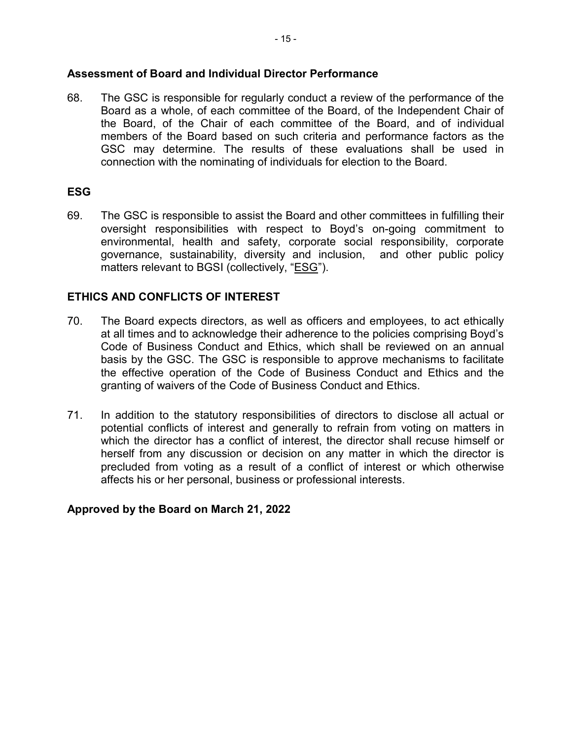## Assessment of Board and Individual Director Performance

68. The GSC is responsible for regularly conduct a review of the performance of the Board as a whole, of each committee of the Board, of the Independent Chair of the Board, of the Chair of each committee of the Board, and of individual members of the Board based on such criteria and performance factors as the GSC may determine. The results of these evaluations shall be used in connection with the nominating of individuals for election to the Board.

# ESG

69. The GSC is responsible to assist the Board and other committees in fulfilling their oversight responsibilities with respect to Boyd's on-going commitment to environmental, health and safety, corporate social responsibility, corporate governance, sustainability, diversity and inclusion, and other public policy matters relevant to BGSI (collectively, "ESG").

# ETHICS AND CONFLICTS OF INTEREST

- 70. The Board expects directors, as well as officers and employees, to act ethically at all times and to acknowledge their adherence to the policies comprising Boyd's Code of Business Conduct and Ethics, which shall be reviewed on an annual basis by the GSC. The GSC is responsible to approve mechanisms to facilitate the effective operation of the Code of Business Conduct and Ethics and the granting of waivers of the Code of Business Conduct and Ethics.
- 71. In addition to the statutory responsibilities of directors to disclose all actual or potential conflicts of interest and generally to refrain from voting on matters in which the director has a conflict of interest, the director shall recuse himself or herself from any discussion or decision on any matter in which the director is precluded from voting as a result of a conflict of interest or which otherwise affects his or her personal, business or professional interests.

## Approved by the Board on March 21, 2022